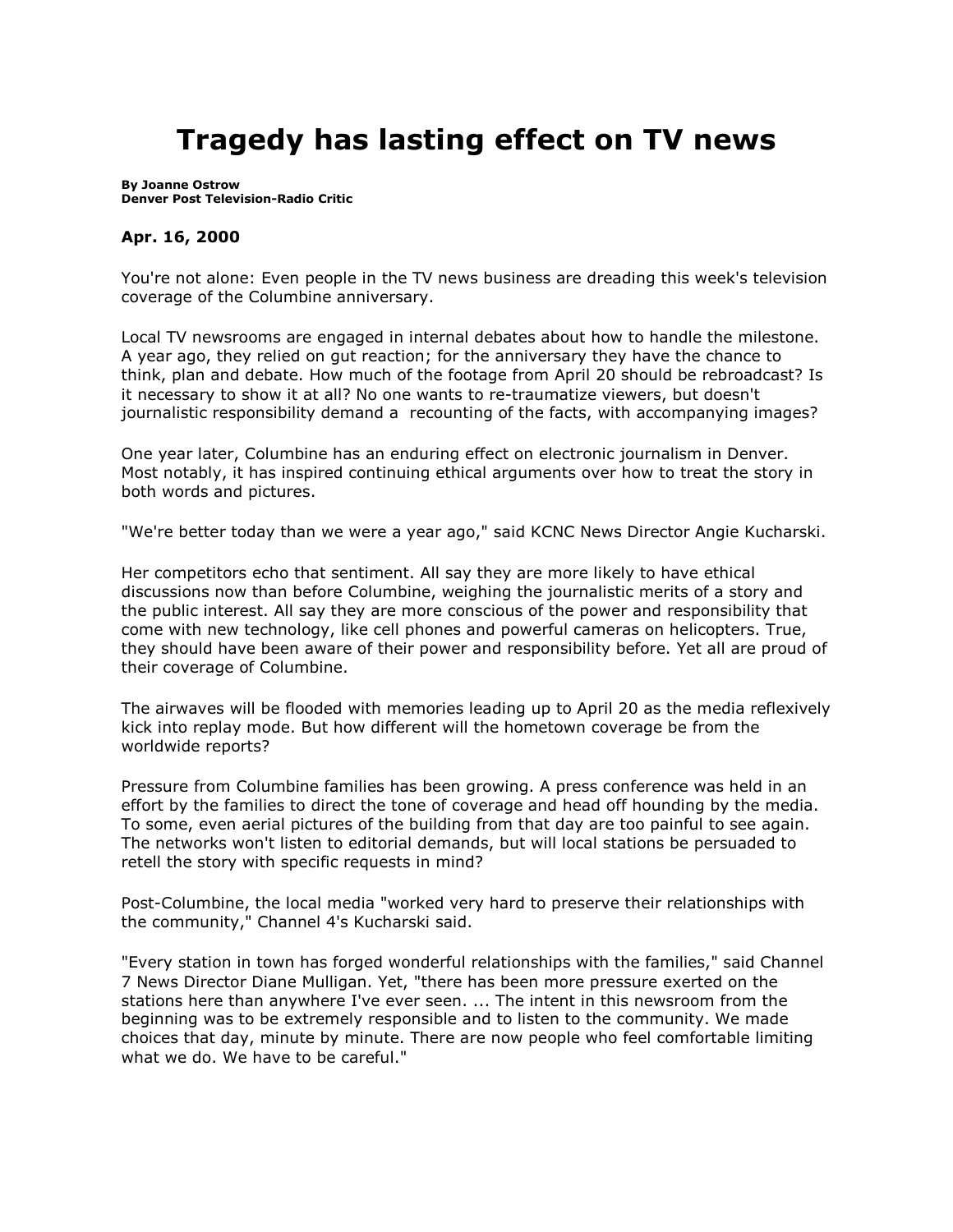## **Tragedy has lasting effect on TV news**

**By [Joanne Ostrow](mailto:arts@denverpost.com) Denver Post Television-Radio Critic**

## **Apr. 16, 2000**

You're not alone: Even people in the TV news business are dreading this week's television coverage of the Columbine anniversary.

Local TV newsrooms are engaged in internal debates about how to handle the milestone. A year ago, they relied on gut reaction; for the anniversary they have the chance to think, plan and debate. How much of the footage from April 20 should be rebroadcast? Is it necessary to show it at all? No one wants to re-traumatize viewers, but doesn't journalistic responsibility demand a recounting of the facts, with accompanying images?

One year later, Columbine has an enduring effect on electronic journalism in Denver. Most notably, it has inspired continuing ethical arguments over how to treat the story in both words and pictures.

"We're better today than we were a year ago," said KCNC News Director Angie Kucharski.

Her competitors echo that sentiment. All say they are more likely to have ethical discussions now than before Columbine, weighing the journalistic merits of a story and the public interest. All say they are more conscious of the power and responsibility that come with new technology, like cell phones and powerful cameras on helicopters. True, they should have been aware of their power and responsibility before. Yet all are proud of their coverage of Columbine.

The airwaves will be flooded with memories leading up to April 20 as the media reflexively kick into replay mode. But how different will the hometown coverage be from the worldwide reports?

Pressure from Columbine families has been growing. A press conference was held in an effort by the families to direct the tone of coverage and head off hounding by the media. To some, even aerial pictures of the building from that day are too painful to see again. The networks won't listen to editorial demands, but will local stations be persuaded to retell the story with specific requests in mind?

Post-Columbine, the local media "worked very hard to preserve their relationships with the community," Channel 4's Kucharski said.

"Every station in town has forged wonderful relationships with the families," said Channel 7 News Director Diane Mulligan. Yet, "there has been more pressure exerted on the stations here than anywhere I've ever seen. ... The intent in this newsroom from the beginning was to be extremely responsible and to listen to the community. We made choices that day, minute by minute. There are now people who feel comfortable limiting what we do. We have to be careful."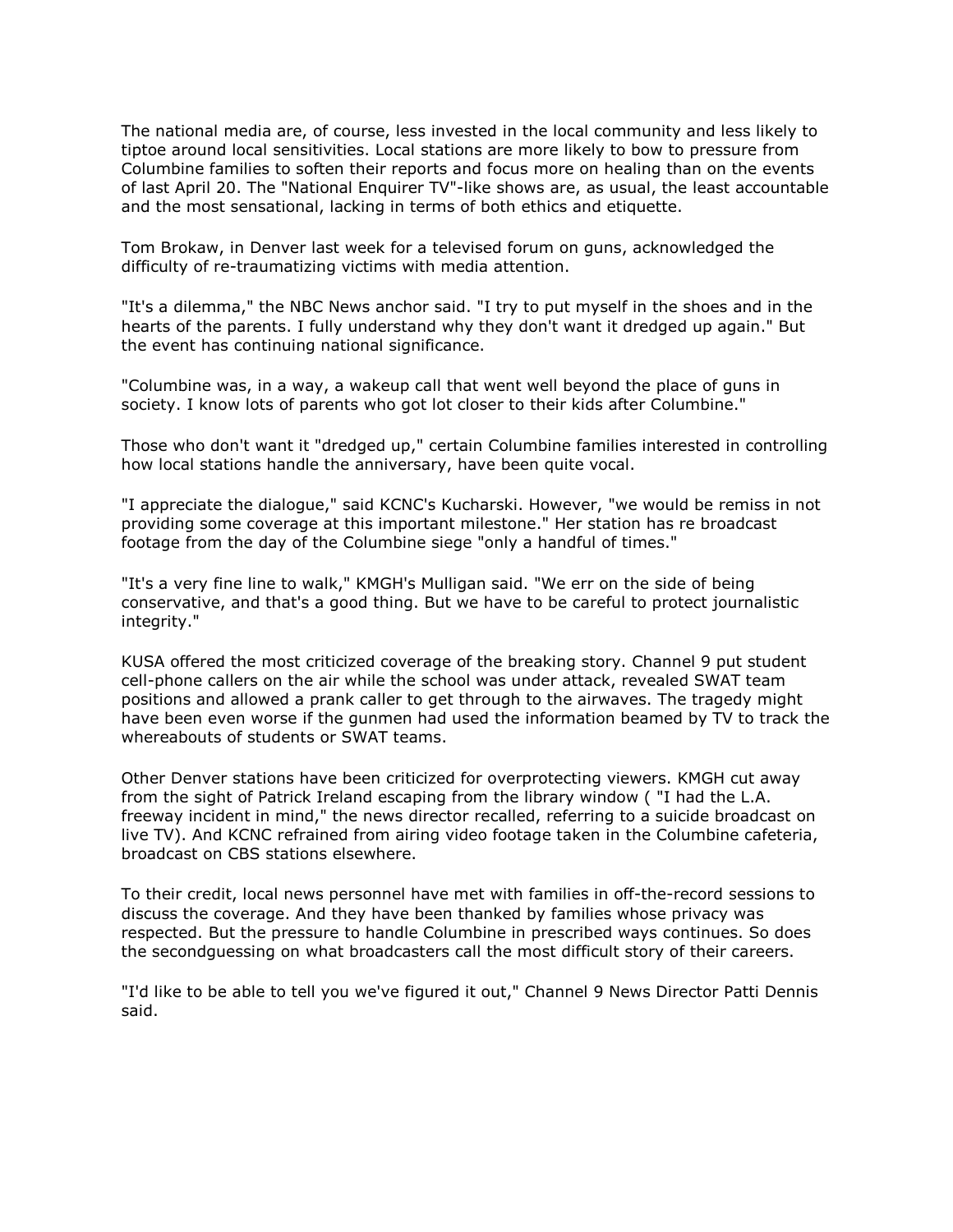The national media are, of course, less invested in the local community and less likely to tiptoe around local sensitivities. Local stations are more likely to bow to pressure from Columbine families to soften their reports and focus more on healing than on the events of last April 20. The "National Enquirer TV"-like shows are, as usual, the least accountable and the most sensational, lacking in terms of both ethics and etiquette.

Tom Brokaw, in Denver last week for a televised forum on guns, acknowledged the difficulty of re-traumatizing victims with media attention.

"It's a dilemma," the NBC News anchor said. "I try to put myself in the shoes and in the hearts of the parents. I fully understand why they don't want it dredged up again." But the event has continuing national significance.

"Columbine was, in a way, a wakeup call that went well beyond the place of guns in society. I know lots of parents who got lot closer to their kids after Columbine."

Those who don't want it "dredged up," certain Columbine families interested in controlling how local stations handle the anniversary, have been quite vocal.

"I appreciate the dialogue," said KCNC's Kucharski. However, "we would be remiss in not providing some coverage at this important milestone." Her station has re broadcast footage from the day of the Columbine siege "only a handful of times."

"It's a very fine line to walk," KMGH's Mulligan said. "We err on the side of being conservative, and that's a good thing. But we have to be careful to protect journalistic integrity."

KUSA offered the most criticized coverage of the breaking story. Channel 9 put student cell-phone callers on the air while the school was under attack, revealed SWAT team positions and allowed a prank caller to get through to the airwaves. The tragedy might have been even worse if the gunmen had used the information beamed by TV to track the whereabouts of students or SWAT teams.

Other Denver stations have been criticized for overprotecting viewers. KMGH cut away from the sight of Patrick Ireland escaping from the library window ( "I had the L.A. freeway incident in mind," the news director recalled, referring to a suicide broadcast on live TV). And KCNC refrained from airing video footage taken in the Columbine cafeteria, broadcast on CBS stations elsewhere.

To their credit, local news personnel have met with families in off-the-record sessions to discuss the coverage. And they have been thanked by families whose privacy was respected. But the pressure to handle Columbine in prescribed ways continues. So does the secondguessing on what broadcasters call the most difficult story of their careers.

"I'd like to be able to tell you we've figured it out," Channel 9 News Director Patti Dennis said.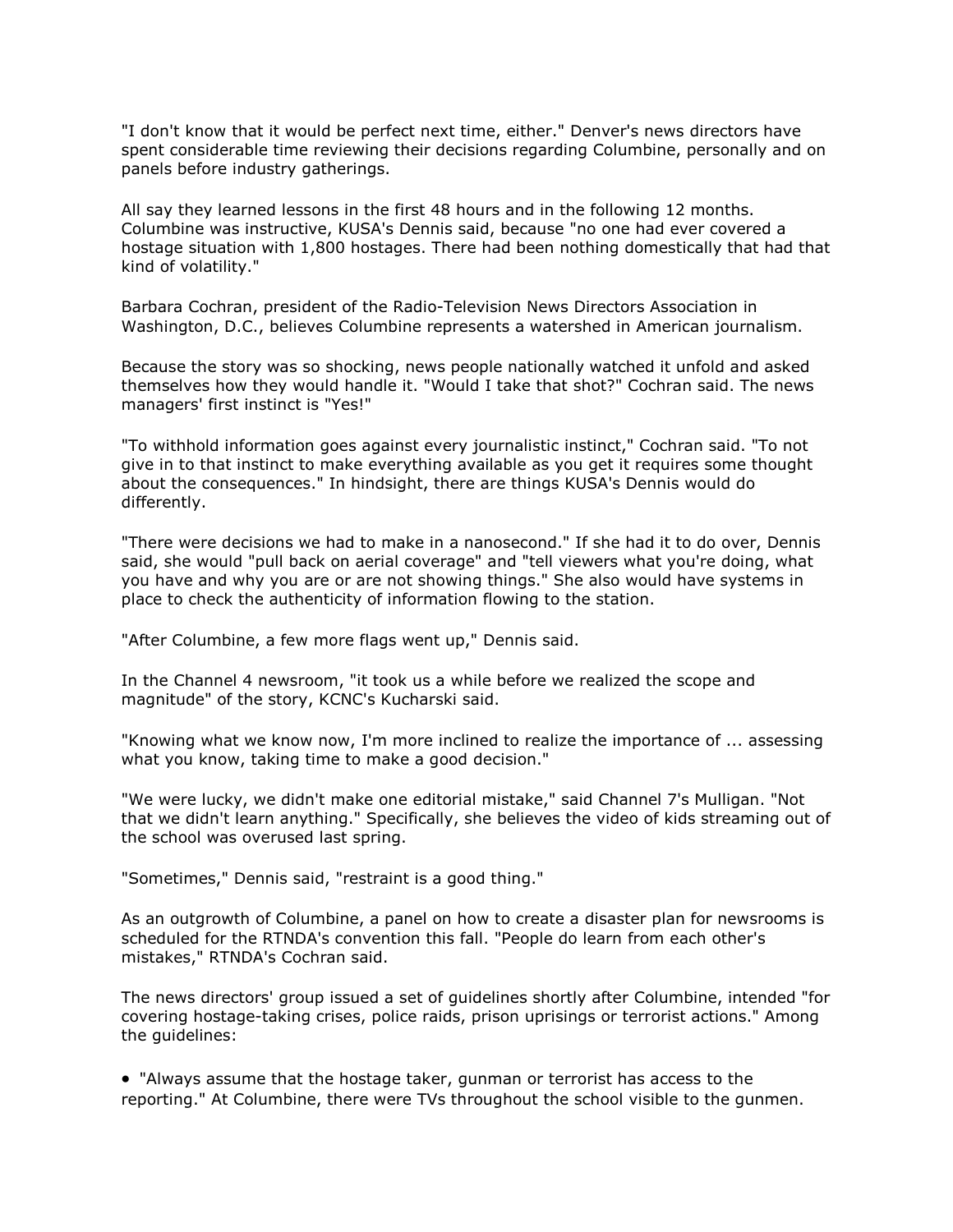"I don't know that it would be perfect next time, either." Denver's news directors have spent considerable time reviewing their decisions regarding Columbine, personally and on panels before industry gatherings.

All say they learned lessons in the first 48 hours and in the following 12 months. Columbine was instructive, KUSA's Dennis said, because "no one had ever covered a hostage situation with 1,800 hostages. There had been nothing domestically that had that kind of volatility."

Barbara Cochran, president of the Radio-Television News Directors Association in Washington, D.C., believes Columbine represents a watershed in American journalism.

Because the story was so shocking, news people nationally watched it unfold and asked themselves how they would handle it. "Would I take that shot?" Cochran said. The news managers' first instinct is "Yes!"

"To withhold information goes against every journalistic instinct," Cochran said. "To not give in to that instinct to make everything available as you get it requires some thought about the consequences." In hindsight, there are things KUSA's Dennis would do differently.

"There were decisions we had to make in a nanosecond." If she had it to do over, Dennis said, she would "pull back on aerial coverage" and "tell viewers what you're doing, what you have and why you are or are not showing things." She also would have systems in place to check the authenticity of information flowing to the station.

"After Columbine, a few more flags went up," Dennis said.

In the Channel 4 newsroom, "it took us a while before we realized the scope and magnitude" of the story, KCNC's Kucharski said.

"Knowing what we know now, I'm more inclined to realize the importance of ... assessing what you know, taking time to make a good decision."

"We were lucky, we didn't make one editorial mistake," said Channel 7's Mulligan. "Not that we didn't learn anything." Specifically, she believes the video of kids streaming out of the school was overused last spring.

"Sometimes," Dennis said, "restraint is a good thing."

As an outgrowth of Columbine, a panel on how to create a disaster plan for newsrooms is scheduled for the RTNDA's convention this fall. "People do learn from each other's mistakes," RTNDA's Cochran said.

The news directors' group issued a set of guidelines shortly after Columbine, intended "for covering hostage-taking crises, police raids, prison uprisings or terrorist actions." Among the guidelines:

• "Always assume that the hostage taker, gunman or terrorist has access to the reporting." At Columbine, there were TVs throughout the school visible to the gunmen.